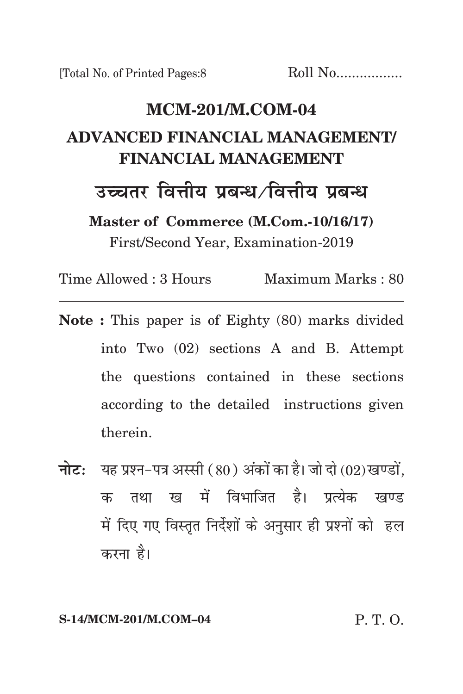# **MCM-201/m.com-04 advanced financial management/ financial management** उच्चतर वित्तीय प्रबन्ध ∕वित्तीय प्रबन्ध **Master of Commerce (M.Com.-10/16/17)**

First/Second Year, Examination-2019

Time Allowed : 3 Hours Maximum Marks : 80

- **Note :** This paper is of Eighty (80) marks divided into Two (02) sections A and B. Attempt the questions contained in these sections according to the detailed instructions given therein.
- **नोट:** यह प्रश्न-पत्र अस्सी (80) अंकों का है। जो दो (02) खण्डों. क तथा ख में विभाजित है। पत्येक खण्ड में दिए गए विस्तृत निर्देशों के अनुसार ही प्रश्नों को हल करना है।

**S-14/MCM-201/M.COM–04** P. T. O.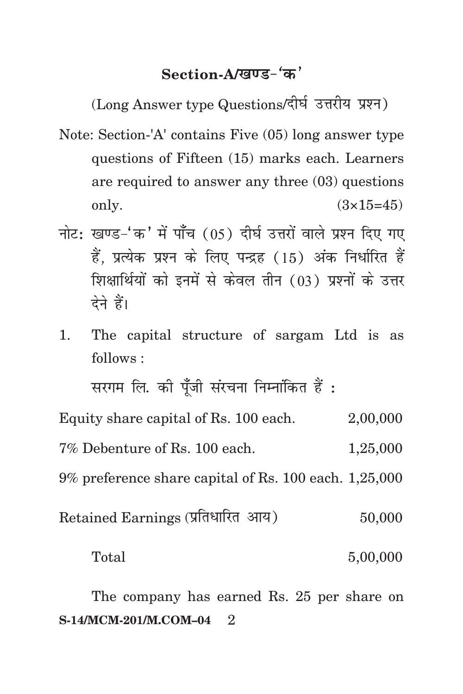# Section-A/<u>खण्ड-</u>'क'

(Long Answer type Questions/दीर्घ उत्तरीय प्रश्न)

- Note: Section-'A' contains Five (05) long answer type questions of Fifteen (15) marks each. Learners are required to answer any three (03) questions only.  $(3 \times 15=45)$
- नोट: खण्ड-'क' में पाँच (05) दीर्घ उत्तरों वाले प्रश्न दिए गए हैं, प्रत्येक प्रश्न के लिए पन्द्रह (15) अंक निर्धारित हैं शिक्षार्थियों को इनमें से केवल तीन (03) प्रश्नों के उत्तर देने हैं।
- 1. The capital structure of sargam Ltd is as follows :

सरगम लि. की पुँजी संरचना निम्नांकित हैं : Equity share capital of Rs. 100 each. 2,00,000 7% Debenture of Rs. 100 each. 1,25,000 9% preference share capital of Rs. 100 each. 1,25,000  $Retained\ Earning$  (प्रतिधारित) अाय)  $50,000$ 

Total 5,00,000

**S-14/MCM-201/M.COM-04** 2 The company has earned Rs. 25 per share on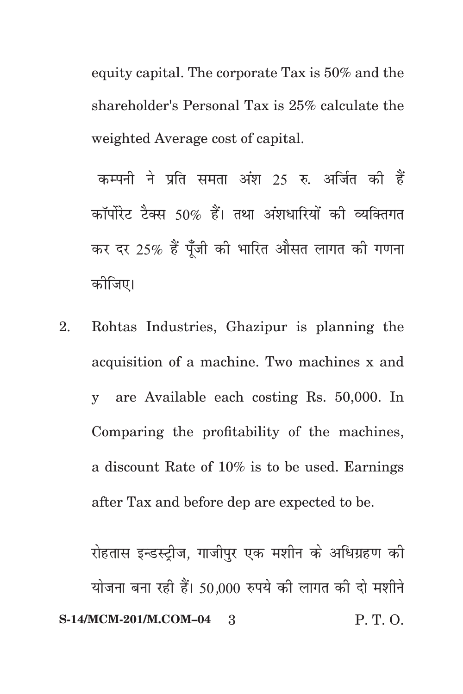equity capital. The corporate Tax is 50% and the shareholder's Personal Tax is 25% calculate the weighted Average cost of capital.

कम्पनी ने प्रति समता अंश 25 रु. अर्जित की हैं कॉर्पोरेट टैक्स 50% हैं। तथा अंशधारियों की व्यक्तिगत कर दर 25% हैं पूँजी की भारित औसत लागत की गणना कोजिए।

2. Rohtas Industries, Ghazipur is planning the acquisition of a machine. Two machines x and y are Available each costing Rs. 50,000. In Comparing the profitability of the machines, a discount Rate of 10% is to be used. Earnings after Tax and before dep are expected to be.

**S-14/MCM-201/M.COM–04** 3 P. T. O. रोहतास इन्डस्ट्रीज, गाजीपुर एक मशीन के अधिग्रहण की योजना बना रही हैं। 50,000 रुपये की लागत की दो मशीने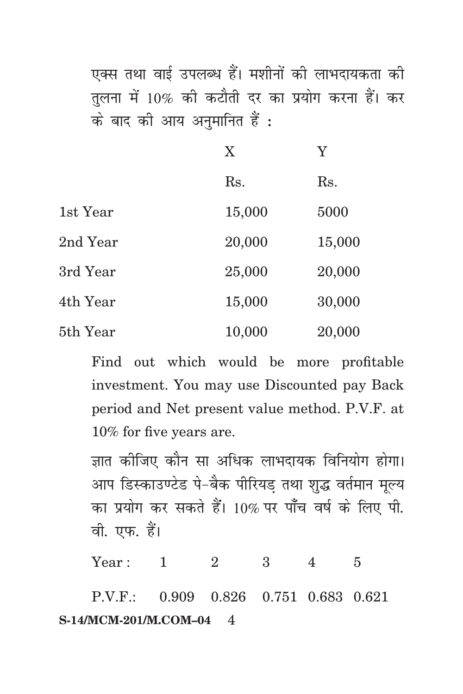एक्स तथा वाई उपलब्ध हैं। मशीनों की लाभदायकता की तलना में 10% की कटौती दर का प्रयोग करना हैं। कर के बाद की आय अनुमानित हैं:

|          | X      | Y      |
|----------|--------|--------|
|          | Rs.    | Rs.    |
| 1st Year | 15,000 | 5000   |
| 2nd Year | 20,000 | 15,000 |
| 3rd Year | 25,000 | 20,000 |
| 4th Year | 15,000 | 30,000 |
| 5th Year | 10,000 | 20,000 |

Find out which would be more profitable investment. You may use Discounted pay Back period and Net present value method. P.V.F. at 10% for five years are.

ज्ञात कीजिए कौन सा अधिक लाभदायक विनियोग होगा। आप डिस्काउण्टेड पे-बैक पीरियड़ तथा शुद्ध वर्तमान मूल्य का प्रयोग कर सकते हैं।  $10\%$  पर पाँच वर्ष के लिए पी. वी. एफ. हैं।

Year: 1 2 3 4 5

**S-14/MCM-201/M.COM-04** 4 P.V.F.: 0.909 0.826 0.751 0.683 0.621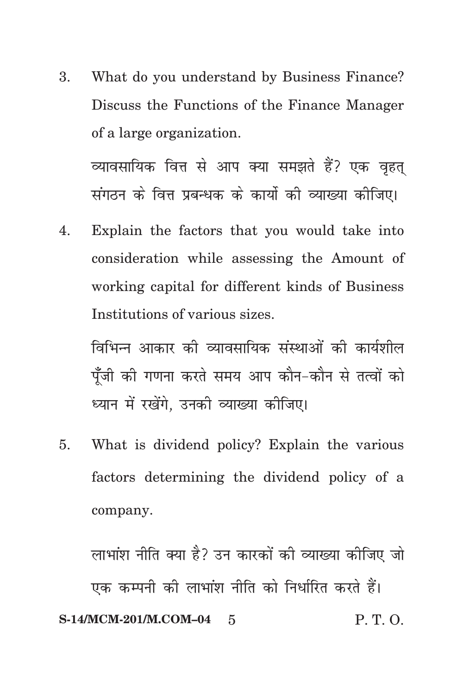3. What do you understand by Business Finance? Discuss the Functions of the Finance Manager of a large organization.

व्यावसायिक वित्त से आप क्या समझते हैं? एक वृहत् संगठन के वित्त प्रबन्धक के कार्यो की व्याख्या कीजिए।

4. Explain the factors that you would take into consideration while assessing the Amount of working capital for different kinds of Business Institutions of various sizes.

विभिन्न आकार को व्यावसायिक संस्थाओं की कार्यशील पूँजी की गणना करते समय आप कौन-कौन से तत्वों को ध्यान में रखेंगे. उनकी व्याख्या कीजिए।

5. What is dividend policy? Explain the various factors determining the dividend policy of a company.

**S-14/MCM-201/M.COM-04** 5 P. T. O. लाभांश नीति क्या है? उन कारकों की व्याख्या कीजिए जो एक कम्पनी की लाभांश नीति को निर्धारित करते हैं।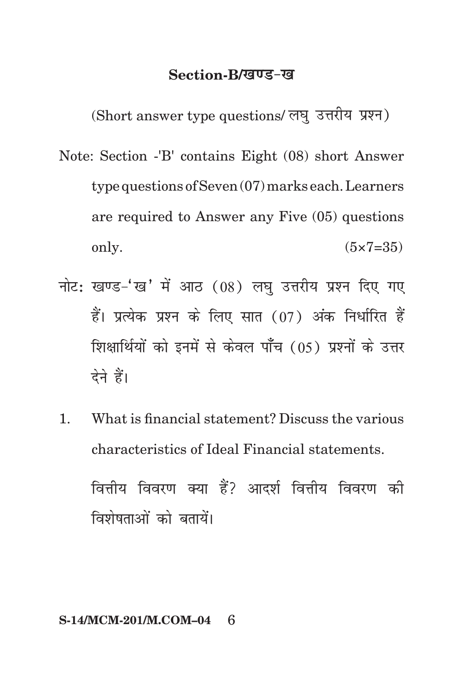## **Section-B/***ख***ण्ड-ख**

(Short answer type questions/ लघु उत्तरीय प्रश्न)

- Note: Section -'B' contains Eight (08) short Answer type questions of Seven (07) marks each. Learners are required to Answer any Five (05) questions only.  $(5 \times 7 = 35)$
- नोट: खण्ड-'ख' में आठ (08) लघ उत्तरीय प्रश्न दिए गए हैं। प्रत्येक प्रश्न के लिए सात (07) अंक निर्धारित हैं शिक्षार्थियों को इनमें से केवल पाँच (05) प्रश्नों के उत्तर देने हैं।
- 1. What is financial statement? Discuss the various characteristics of Ideal Financial statements.

वित्तीय विवरण क्या हैं? आदर्श वित्तीय विवरण की विशेषताओं को बतायें।

#### **S-14/MCM-201/M.COM–04** 6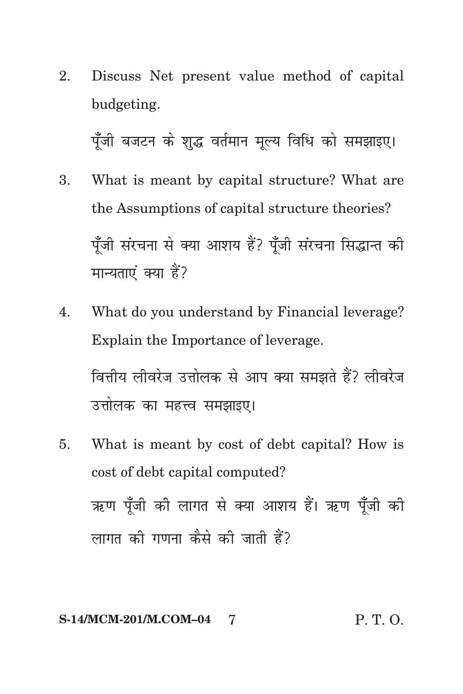2. Discuss Net present value method of capital budgeting.

पूँजी बजटन के शुद्ध वर्तमान मूल्य विधि को समझाइए।

- 3. What is meant by capital structure? What are the Assumptions of capital structure theories? पुँजी संरचना से क्या आशय हैं? पुँजी संरचना सिद्धान्त की मान्यताएं क्या हैं?
- 4. What do you understand by Financial leverage? Explain the Importance of leverage. वित्तीय लीवरेज उत्तोलक से आप क्या समझते हैं? लीवरेज उत्तोलक का महत्त्व समझाइए।
- 5. What is meant by cost of debt capital? How is cost of debt capital computed? ऋण पुँजी की लागत से क्या आशय हैं। ऋण पुँजी की लागत की गणना कैसे की जाती हैं?